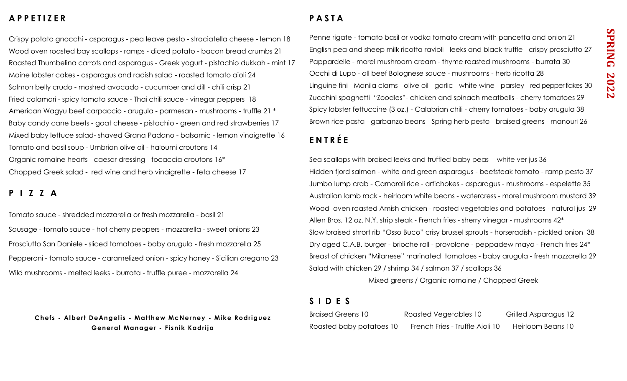### **A P P E T I Z E R**

Crispy potato gnocchi - asparagus - pea leave pesto - straciatella cheese - lemon 18 Wood oven roasted bay scallops - ramps - diced potato - bacon bread crumbs 21 Roasted Thumbelina carrots and asparagus - Greek yogurt - pistachio dukkah - mint 17 Maine lobster cakes - asparagus and radish salad - roasted tomato aioli 24 Salmon belly crudo - mashed avocado - cucumber and dill - chili crisp 21 Fried calamari - spicy tomato sauce - Thai chili sauce - vinegar peppers 18 American Wagyu beef carpaccio - arugula - parmesan - mushrooms - truffle 21 \* Baby candy cane beets - goat cheese - pistachio - green and red strawberries 17 Mixed baby lettuce salad- shaved Grana Padano - balsamic - lemon vinaigrette 16 Tomato and basil soup - Umbrian olive oil - haloumi croutons 14 Organic romaine hearts - caesar dressing - focaccia croutons 16\* Chopped Greek salad - red wine and herb vinaigrette - feta cheese 17

#### **P I Z Z A**

Tomato sauce - shredded mozzarella or fresh mozzarella - basil 21 Sausage - tomato sauce - hot cherry peppers - mozzarella - sweet onions 23 Prosciutto San Daniele - sliced tomatoes - baby arugula - fresh mozzarella 25 Pepperoni - tomato sauce - caramelized onion - spicy honey - Sicilian oregano 23 Wild mushrooms - melted leeks - burrata - truffle puree - mozzarella 24

**Chefs - Albert DeAngelis - Matthew McNerney - Mike Rodriguez General Manager - Fisnik Kadrija** 

# **P A S T A**

Penne rigate - tomato basil or vodka tomato cream with pancetta and onion 21 English pea and sheep milk ricotta ravioli - leeks and black truffle - crispy prosciutto 27 Pappardelle - morel mushroom cream - thyme roasted mushrooms - burrata 30 Occhi di Lupo - all beef Bolognese sauce - mushrooms - herb ricotta 28 Linguine fini - Manila clams - olive oil - garlic - white wine - parsley - red pepper flakes 30 Zucchini spaghetti "Zoodles"- chicken and spinach meatballs - cherry tomatoes 29 Spicy lobster fettuccine (3 oz.) - Calabrian chili - cherry tomatoes - baby arugula 38 Brown rice pasta - garbanzo beans - Spring herb pesto - braised greens - manouri 26

# **E N T R É E**

Sea scallops with braised leeks and truffled baby peas - white ver jus 36 Hidden fjord salmon - white and green asparagus - beefsteak tomato - ramp pesto 37 Jumbo lump crab - Carnaroli rice - artichokes - asparagus - mushrooms - espelette 35 Australian lamb rack - heirloom white beans - watercress - morel mushroom mustard 39 Wood oven roasted Amish chicken - roasted vegetables and potatoes - natural jus 29 Allen Bros. 12 oz. N.Y. strip steak - French fries - sherry vinegar - mushrooms 42\* Slow braised shrort rib "Osso Buco" crisy brussel sprouts - horseradish - pickled onion 38 Dry aged C.A.B. burger - brioche roll - provolone - peppadew mayo - French fries 24\* Breast of chicken "Milanese" marinated tomatoes - baby arugula - fresh mozzarella 29 Salad with chicken 29 / shrimp 34 / salmon 37 / scallops 36

Mixed greens / Organic romaine / Chopped Greek

### **S I D E S**

| <b>Braised Greens 10</b> | Roasted Vegetables 10           | Grilled Asparagus 12 |
|--------------------------|---------------------------------|----------------------|
| Roasted baby potatoes 10 | French Fries - Truffle Aioli 10 | Heirloom Beans 10    |